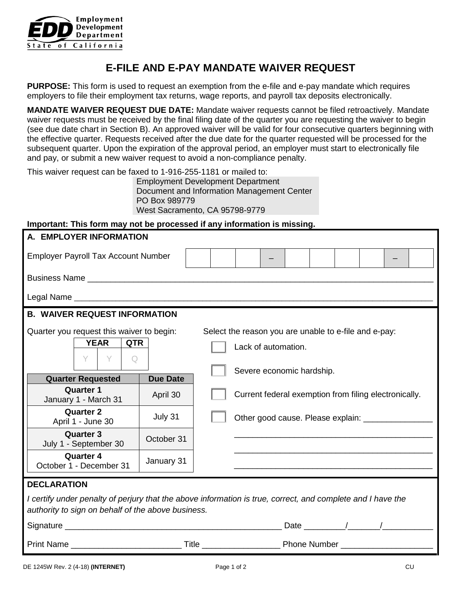

# **E-FILE AND E-PAY MANDATE WAIVER REQUEST**

**PURPOSE:** This form is used to request an exemption from the e-file and e-pay mandate which requires employers to file their employment tax returns, wage reports, and payroll tax deposits electronically.

**MANDATE WAIVER REQUEST DUE DATE:** Mandate waiver requests cannot be filed retroactively. Mandate waiver requests must be received by the final filing date of the quarter you are requesting the waiver to begin (see due date chart in Section B). An approved waiver will be valid for four consecutive quarters beginning with the effective quarter. Requests received after the due date for the quarter requested will be processed for the subsequent quarter. Upon the expiration of the approval period, an employer must start to electronically file and pay, or submit a new waiver request to avoid a non-compliance penalty.

This waiver request can be faxed to 1-916-255-1181 or mailed to:

Employment Development Department Document and Information Management Center PO Box 989779 West Sacramento, CA 95798-9779

#### **Important: This form may not be processed if any information is missing.**

| A. EMPLOYER INFORMATION                                                                                                                                           |                                                                              |                                                       |  |  |  |  |  |  |  |  |
|-------------------------------------------------------------------------------------------------------------------------------------------------------------------|------------------------------------------------------------------------------|-------------------------------------------------------|--|--|--|--|--|--|--|--|
| <b>Employer Payroll Tax Account Number</b>                                                                                                                        |                                                                              |                                                       |  |  |  |  |  |  |  |  |
|                                                                                                                                                                   |                                                                              |                                                       |  |  |  |  |  |  |  |  |
|                                                                                                                                                                   |                                                                              |                                                       |  |  |  |  |  |  |  |  |
| <b>B. WAIVER REQUEST INFORMATION</b>                                                                                                                              |                                                                              |                                                       |  |  |  |  |  |  |  |  |
| Quarter you request this waiver to begin:<br><b>YEAR</b><br><b>QTR</b><br>Y.<br>Y<br>$\Omega$                                                                     | Select the reason you are unable to e-file and e-pay:<br>Lack of automation. |                                                       |  |  |  |  |  |  |  |  |
|                                                                                                                                                                   |                                                                              | Severe economic hardship.                             |  |  |  |  |  |  |  |  |
| <b>Quarter Requested</b><br><b>Quarter 1</b><br>January 1 - March 31                                                                                              | <b>Due Date</b><br>April 30                                                  | Current federal exemption from filing electronically. |  |  |  |  |  |  |  |  |
| <b>Quarter 2</b><br>April 1 - June 30                                                                                                                             | July 31                                                                      | Other good cause. Please explain: _________________   |  |  |  |  |  |  |  |  |
| <b>Quarter 3</b><br>July 1 - September 30                                                                                                                         | October 31                                                                   |                                                       |  |  |  |  |  |  |  |  |
| <b>Quarter 4</b><br>October 1 - December 31                                                                                                                       | January 31                                                                   |                                                       |  |  |  |  |  |  |  |  |
| <b>DECLARATION</b>                                                                                                                                                |                                                                              |                                                       |  |  |  |  |  |  |  |  |
| I certify under penalty of perjury that the above information is true, correct, and complete and I have the<br>authority to sign on behalf of the above business. |                                                                              |                                                       |  |  |  |  |  |  |  |  |
|                                                                                                                                                                   |                                                                              |                                                       |  |  |  |  |  |  |  |  |
|                                                                                                                                                                   |                                                                              |                                                       |  |  |  |  |  |  |  |  |